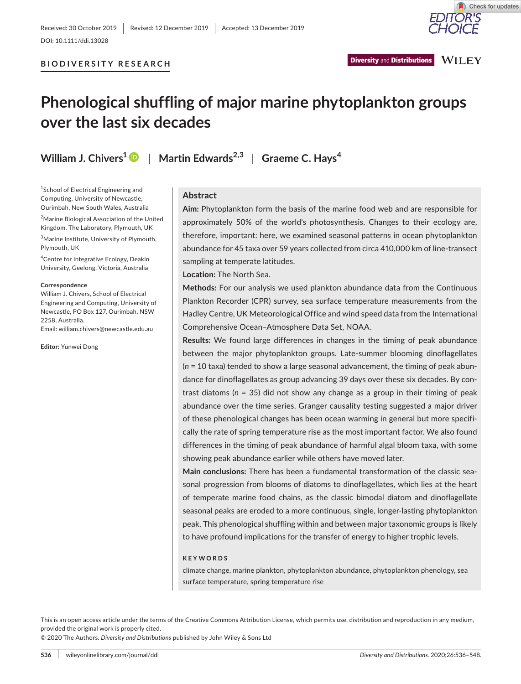**BIODIVERSITY RESEARCH**

**WILEY Diversity and Distributions** 

# **Phenological shuffling of major marine phytoplankton groups over the last six decades**

**William J. Chivers[1](https://orcid.org/0000-0002-9731-5441)** | **Martin Edwards2,3** | **Graeme C. Hays<sup>4</sup>**

<sup>1</sup>School of Electrical Engineering and Computing, University of Newcastle, Ourimbah, New South Wales, Australia

<sup>2</sup>Marine Biological Association of the United Kingdom, The Laboratory, Plymouth, UK

3 Marine Institute, University of Plymouth, Plymouth, UK

4 Centre for Integrative Ecology, Deakin University, Geelong, Victoria, Australia

#### **Correspondence**

William J. Chivers, School of Electrical Engineering and Computing, University of Newcastle, PO Box 127, Ourimbah, NSW 2258, Australia.

Email: [william.chivers@newcastle.edu.au](mailto:william.chivers@newcastle.edu.au)

**Editor:** Yunwei Dong

#### **Abstract**

**Aim:** Phytoplankton form the basis of the marine food web and are responsible for approximately 50% of the world's photosynthesis. Changes to their ecology are, therefore, important: here, we examined seasonal patterns in ocean phytoplankton abundance for 45 taxa over 59 years collected from circa 410,000 km of line-transect sampling at temperate latitudes.

**Location:** The North Sea.

**Methods:** For our analysis we used plankton abundance data from the Continuous Plankton Recorder (CPR) survey, sea surface temperature measurements from the Hadley Centre, UK Meteorological Office and wind speed data from the International Comprehensive Ocean–Atmosphere Data Set, NOAA.

**Results:** We found large differences in changes in the timing of peak abundance between the major phytoplankton groups. Late-summer blooming dinoflagellates (*n* = 10 taxa) tended to show a large seasonal advancement, the timing of peak abundance for dinoflagellates as group advancing 39 days over these six decades. By contrast diatoms (*n* = 35) did not show any change as a group in their timing of peak abundance over the time series. Granger causality testing suggested a major driver of these phenological changes has been ocean warming in general but more specifically the rate of spring temperature rise as the most important factor. We also found differences in the timing of peak abundance of harmful algal bloom taxa, with some showing peak abundance earlier while others have moved later.

**Main conclusions:** There has been a fundamental transformation of the classic seasonal progression from blooms of diatoms to dinoflagellates, which lies at the heart of temperate marine food chains, as the classic bimodal diatom and dinoflagellate seasonal peaks are eroded to a more continuous, single, longer-lasting phytoplankton peak. This phenological shuffling within and between major taxonomic groups is likely to have profound implications for the transfer of energy to higher trophic levels.

#### **KEYWORDS**

climate change, marine plankton, phytoplankton abundance, phytoplankton phenology, sea surface temperature, spring temperature rise

This is an open access article under the terms of the [Creative Commons Attribution](http://creativecommons.org/licenses/by/4.0/) License, which permits use, distribution and reproduction in any medium, provided the original work is properly cited.

© 2020 The Authors. *Diversity and Distributions* published by John Wiley & Sons Ltd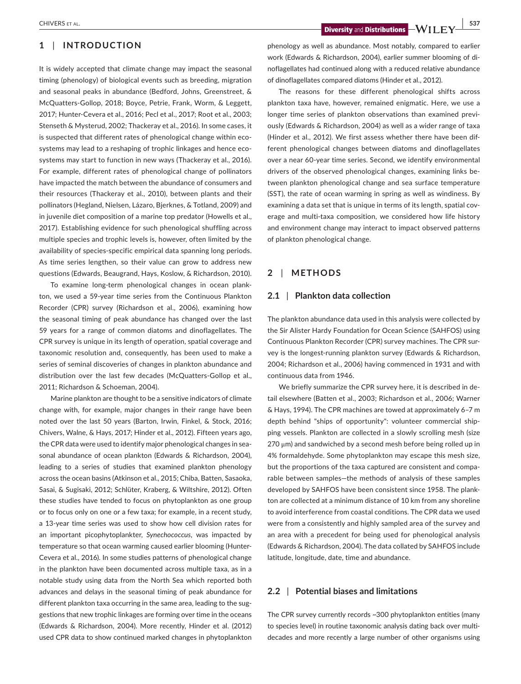## **1** | **INTRODUCTION**

It is widely accepted that climate change may impact the seasonal timing (phenology) of biological events such as breeding, migration and seasonal peaks in abundance (Bedford, Johns, Greenstreet, & McQuatters-Gollop, 2018; Boyce, Petrie, Frank, Worm, & Leggett, 2017; Hunter-Cevera et al., 2016; Pecl et al., 2017; Root et al., 2003; Stenseth & Mysterud, 2002; Thackeray et al., 2016). In some cases, it is suspected that different rates of phenological change within ecosystems may lead to a reshaping of trophic linkages and hence ecosystems may start to function in new ways (Thackeray et al., 2016). For example, different rates of phenological change of pollinators have impacted the match between the abundance of consumers and their resources (Thackeray et al., 2010), between plants and their pollinators (Hegland, Nielsen, Lázaro, Bjerknes, & Totland, 2009) and in juvenile diet composition of a marine top predator (Howells et al., 2017). Establishing evidence for such phenological shuffling across multiple species and trophic levels is, however, often limited by the availability of species-specific empirical data spanning long periods. As time series lengthen, so their value can grow to address new questions (Edwards, Beaugrand, Hays, Koslow, & Richardson, 2010).

To examine long-term phenological changes in ocean plankton, we used a 59-year time series from the Continuous Plankton Recorder (CPR) survey (Richardson et al., 2006), examining how the seasonal timing of peak abundance has changed over the last 59 years for a range of common diatoms and dinoflagellates. The CPR survey is unique in its length of operation, spatial coverage and taxonomic resolution and, consequently, has been used to make a series of seminal discoveries of changes in plankton abundance and distribution over the last few decades (McQuatters-Gollop et al., 2011; Richardson & Schoeman, 2004).

Marine plankton are thought to be a sensitive indicators of climate change with, for example, major changes in their range have been noted over the last 50 years (Barton, Irwin, Finkel, & Stock, 2016; Chivers, Walne, & Hays, 2017; Hinder et al., 2012). Fifteen years ago, the CPR data were used to identify major phenological changes in seasonal abundance of ocean plankton (Edwards & Richardson, 2004), leading to a series of studies that examined plankton phenology across the ocean basins (Atkinson et al., 2015; Chiba, Batten, Sasaoka, Sasai, & Sugisaki, 2012; Schlüter, Kraberg, & Wiltshire, 2012). Often these studies have tended to focus on phytoplankton as one group or to focus only on one or a few taxa; for example, in a recent study, a 13-year time series was used to show how cell division rates for an important picophytoplankter, *Synechococcus*, was impacted by temperature so that ocean warming caused earlier blooming (Hunter-Cevera et al., 2016). In some studies patterns of phenological change in the plankton have been documented across multiple taxa, as in a notable study using data from the North Sea which reported both advances and delays in the seasonal timing of peak abundance for different plankton taxa occurring in the same area, leading to the suggestions that new trophic linkages are forming over time in the oceans (Edwards & Richardson, 2004). More recently, Hinder et al. (2012) used CPR data to show continued marked changes in phytoplankton

**EXECUTERS ET AL.** THE STALE STALE SET ALL AND RESIDENCE ASSESSED AS A REPORT OF A LIGHT OF A LIGHT OF A LIGHT OF A LIGHT OF A LIGHT OF A LIGHT OF A LIGHT OF A LIGHT OF A LIGHT OF A LIGHT OF A LIGHT OF A LIGHT OF A LIGHT O

phenology as well as abundance. Most notably, compared to earlier work (Edwards & Richardson, 2004), earlier summer blooming of dinoflagellates had continued along with a reduced relative abundance of dinoflagellates compared diatoms (Hinder et al., 2012).

The reasons for these different phenological shifts across plankton taxa have, however, remained enigmatic. Here, we use a longer time series of plankton observations than examined previously (Edwards & Richardson, 2004) as well as a wider range of taxa (Hinder et al., 2012). We first assess whether there have been different phenological changes between diatoms and dinoflagellates over a near 60-year time series. Second, we identify environmental drivers of the observed phenological changes, examining links between plankton phenological change and sea surface temperature (SST), the rate of ocean warming in spring as well as windiness. By examining a data set that is unique in terms of its length, spatial coverage and multi-taxa composition, we considered how life history and environment change may interact to impact observed patterns of plankton phenological change.

## **2** | **METHODS**

## **2.1** | **Plankton data collection**

The plankton abundance data used in this analysis were collected by the Sir Alister Hardy Foundation for Ocean Science (SAHFOS) using Continuous Plankton Recorder (CPR) survey machines. The CPR survey is the longest-running plankton survey (Edwards & Richardson, 2004; Richardson et al., 2006) having commenced in 1931 and with continuous data from 1946.

We briefly summarize the CPR survey here, it is described in detail elsewhere (Batten et al., 2003; Richardson et al., 2006; Warner & Hays, 1994). The CPR machines are towed at approximately 6–7 m depth behind "ships of opportunity": volunteer commercial shipping vessels. Plankton are collected in a slowly scrolling mesh (size 270 μm) and sandwiched by a second mesh before being rolled up in 4% formaldehyde. Some phytoplankton may escape this mesh size, but the proportions of the taxa captured are consistent and comparable between samples—the methods of analysis of these samples developed by SAHFOS have been consistent since 1958. The plankton are collected at a minimum distance of 10 km from any shoreline to avoid interference from coastal conditions. The CPR data we used were from a consistently and highly sampled area of the survey and an area with a precedent for being used for phenological analysis (Edwards & Richardson, 2004). The data collated by SAHFOS include latitude, longitude, date, time and abundance.

## **2.2** | **Potential biases and limitations**

The CPR survey currently records ~300 phytoplankton entities (many to species level) in routine taxonomic analysis dating back over multidecades and more recently a large number of other organisms using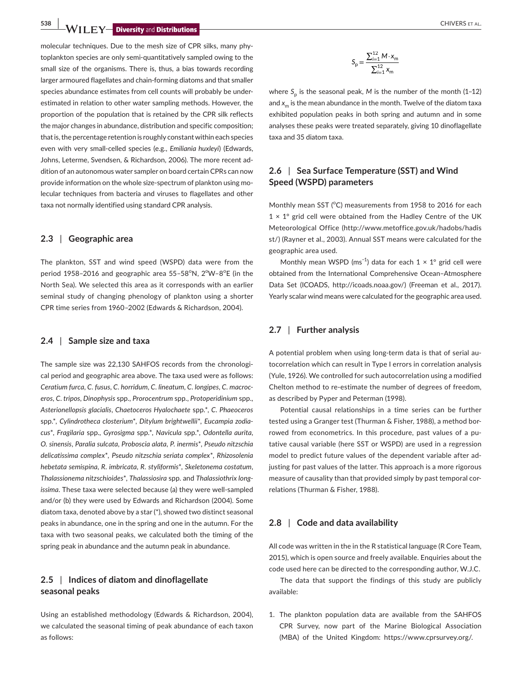**538 WII FY-Diversity** and **Distributions** 

molecular techniques. Due to the mesh size of CPR silks, many phytoplankton species are only semi-quantitatively sampled owing to the small size of the organisms. There is, thus, a bias towards recording larger armoured flagellates and chain-forming diatoms and that smaller species abundance estimates from cell counts will probably be underestimated in relation to other water sampling methods. However, the proportion of the population that is retained by the CPR silk reflects the major changes in abundance, distribution and specific composition; that is, the percentage retention is roughly constant within each species even with very small-celled species (e.g., *Emiliania huxleyi*) (Edwards, Johns, Leterme, Svendsen, & Richardson, 2006). The more recent addition of an autonomous water sampler on board certain CPRs can now provide information on the whole size-spectrum of plankton using molecular techniques from bacteria and viruses to flagellates and other taxa not normally identified using standard CPR analysis.

## **2.3** | **Geographic area**

The plankton, SST and wind speed (WSPD) data were from the period 1958-2016 and geographic area 55-58°N, 2°W-8°E (in the North Sea). We selected this area as it corresponds with an earlier seminal study of changing phenology of plankton using a shorter CPR time series from 1960–2002 (Edwards & Richardson, 2004).

## **2.4** | **Sample size and taxa**

The sample size was 22,130 SAHFOS records from the chronological period and geographic area above. The taxa used were as follows: *Ceratium furca*, *C. fusus*, *C. horridum*, *C. lineatum*, *C. longipes*, *C. macroceros*, *C. tripos*, *Dinophysis* spp., *Prorocentrum* spp., *Protoperidinium* spp., *Asterionellopsis glacialis*, *Chaetoceros Hyalochaete* spp.\*, *C. Phaeoceros* spp.\*, *Cylindrotheca closterium*\*, *Ditylum brightwellii*\*, *Eucampia zodiacus*\*, *Fragilaria* spp., *Gyrosigma* spp.\*, *Navicula* spp.\*, *Odontella aurita*, *O. sinensis*, *Paralia sulcata*, *Proboscia alata*, *P. inermis*\*, *Pseudo nitzschia delicatissima complex*\*, *Pseudo nitzschia seriata complex*\*, *Rhizosolenia hebetata semispina*, *R. imbricata*, *R. styliformis*\*, *Skeletonema costatum*, *Thalassionema nitzschioides*\*, *Thalassiosira* spp. and *Thalassiothrix longissima*. These taxa were selected because (a) they were well-sampled and/or (b) they were used by Edwards and Richardson (2004). Some diatom taxa, denoted above by a star (\*), showed two distinct seasonal peaks in abundance, one in the spring and one in the autumn. For the taxa with two seasonal peaks, we calculated both the timing of the spring peak in abundance and the autumn peak in abundance.

# **2.5** | **Indices of diatom and dinoflagellate seasonal peaks**

Using an established methodology (Edwards & Richardson, 2004), we calculated the seasonal timing of peak abundance of each taxon as follows:

$$
S_p = \frac{\sum_{i=1}^{12} M \cdot x_m}{\sum_{i=1}^{12} x_m}
$$

where  $S_n$  is the seasonal peak, M is the number of the month (1-12) and  $x<sub>m</sub>$  is the mean abundance in the month. Twelve of the diatom taxa exhibited population peaks in both spring and autumn and in some analyses these peaks were treated separately, giving 10 dinoflagellate taxa and 35 diatom taxa.

# **2.6** | **Sea Surface Temperature (SST) and Wind Speed (WSPD) parameters**

Monthly mean SST (°C) measurements from 1958 to 2016 for each  $1 \times 1$ ° grid cell were obtained from the Hadley Centre of the UK Meteorological Office [\(http://www.metoffice.gov.uk/hadobs/hadis](://www.metoffice.gov.uk/hadobs/hadisst/) [st/](://www.metoffice.gov.uk/hadobs/hadisst/)) (Rayner et al., 2003). Annual SST means were calculated for the geographic area used.

Monthly mean WSPD (ms<sup>-1</sup>) data for each  $1 \times 1^\circ$  grid cell were obtained from the International Comprehensive Ocean–Atmosphere Data Set (ICOADS, [http://icoads.noaa.gov/](://icoads.noaa.gov/)) (Freeman et al., 2017). Yearly scalar wind means were calculated for the geographic area used.

## **2.7** | **Further analysis**

A potential problem when using long-term data is that of serial autocorrelation which can result in Type I errors in correlation analysis (Yule, 1926). We controlled for such autocorrelation using a modified Chelton method to re-estimate the number of degrees of freedom, as described by Pyper and Peterman (1998).

Potential causal relationships in a time series can be further tested using a Granger test (Thurman & Fisher, 1988), a method borrowed from econometrics. In this procedure, past values of a putative causal variable (here SST or WSPD) are used in a regression model to predict future values of the dependent variable after adjusting for past values of the latter. This approach is a more rigorous measure of causality than that provided simply by past temporal correlations (Thurman & Fisher, 1988).

## **2.8** | **Code and data availability**

All code was written in the in the R statistical language (R Core Team, 2015), which is open source and freely available. Enquiries about the code used here can be directed to the corresponding author, W.J.C.

The data that support the findings of this study are publicly available:

1. The plankton population data are available from the SAHFOS CPR Survey, now part of the Marine Biological Association (MBA) of the United Kingdom: [https://www.cprsurvey.org/.](https://www.cprsurvey.org/)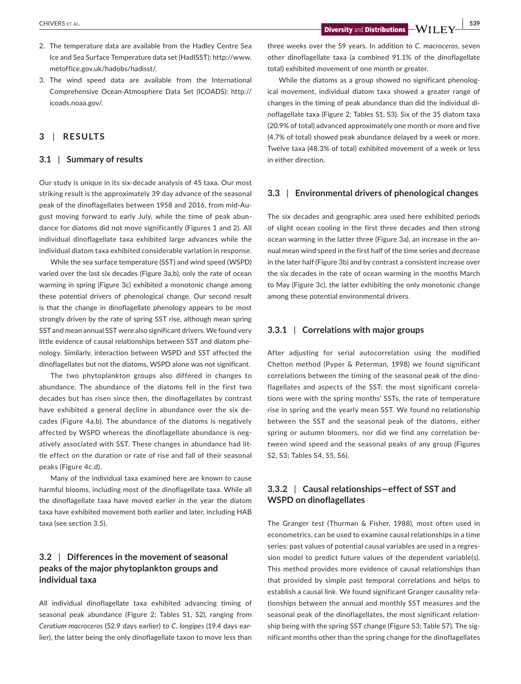- 2. The temperature data are available from the Hadley Centre Sea Ice and Sea Surface Temperature data set (HadISST): [http://www.](://www.metoffice.gov.uk/hadobs/hadisst/) [metoffice.gov.uk/hadobs/hadisst/](://www.metoffice.gov.uk/hadobs/hadisst/).
- 3. The wind speed data are available from the International Comprehensive Ocean-Atmosphere Data Set (ICOADS): [http://](://icoads.noaa.gov/) [icoads.noaa.gov/.](://icoads.noaa.gov/)

## **3** | **RESULTS**

## **3.1** | **Summary of results**

Our study is unique in its six-decade analysis of 45 taxa. Our most striking result is the approximately 39 day advance of the seasonal peak of the dinoflagellates between 1958 and 2016, from mid-August moving forward to early July, while the time of peak abundance for diatoms did not move significantly (Figures 1 and 2). All individual dinoflagellate taxa exhibited large advances while the individual diatom taxa exhibited considerable variation in response.

While the sea surface temperature (SST) and wind speed (WSPD) varied over the last six decades (Figure 3a,b), only the rate of ocean warming in spring (Figure 3c) exhibited a monotonic change among these potential drivers of phenological change. Our second result is that the change in dinoflagellate phenology appears to be most strongly driven by the rate of spring SST rise, although mean spring SST and mean annual SST were also significant drivers. We found very little evidence of causal relationships between SST and diatom phenology. Similarly, interaction between WSPD and SST affected the dinoflagellates but not the diatoms, WSPD alone was not significant.

The two phytoplankton groups also differed in changes to abundance. The abundance of the diatoms fell in the first two decades but has risen since then, the dinoflagellates by contrast have exhibited a general decline in abundance over the six decades (Figure 4a,b). The abundance of the diatoms is negatively affected by WSPD whereas the dinoflagellate abundance is negatively associated with SST. These changes in abundance had little effect on the duration or rate of rise and fall of their seasonal peaks (Figure 4c,d).

Many of the individual taxa examined here are known to cause harmful blooms, including most of the dinoflagellate taxa. While all the dinoflagellate taxa have moved earlier in the year the diatom taxa have exhibited movement both earlier and later, including HAB taxa (see section 3.5).

# **3.2** | **Differences in the movement of seasonal peaks of the major phytoplankton groups and individual taxa**

All individual dinoflagellate taxa exhibited advancing timing of seasonal peak abundance (Figure 2; Tables S1, S2), ranging from *Ceratium macroceros* (52.9 days earlier) to *C. longipes* (19.4 days earlier), the latter being the only dinoflagellate taxon to move less than

three weeks over the 59 years. In addition to *C. macroceros*, seven other dinoflagellate taxa (a combined 91.1% of the dinoflagellate total) exhibited movement of one month or greater.

While the diatoms as a group showed no significant phenological movement, individual diatom taxa showed a greater range of changes in the timing of peak abundance than did the individual dinoflagellate taxa (Figure 2; Tables S1, S3). Six of the 35 diatom taxa (20.9% of total) advanced approximately one month or more and five (4.7% of total) showed peak abundance delayed by a week or more. Twelve taxa (48.3% of total) exhibited movement of a week or less in either direction.

## **3.3** | **Environmental drivers of phenological changes**

The six decades and geographic area used here exhibited periods of slight ocean cooling in the first three decades and then strong ocean warming in the latter three (Figure 3a), an increase in the annual mean wind speed in the first half of the time series and decrease in the later half (Figure 3b) and by contrast a consistent increase over the six decades in the rate of ocean warming in the months March to May (Figure 3c), the latter exhibiting the only monotonic change among these potential environmental drivers.

## **3.3.1** | **Correlations with major groups**

After adjusting for serial autocorrelation using the modified Chelton method (Pyper & Peterman, 1998) we found significant correlations between the timing of the seasonal peak of the dinoflagellates and aspects of the SST: the most significant correlations were with the spring months' SSTs, the rate of temperature rise in spring and the yearly mean SST. We found no relationship between the SST and the seasonal peak of the diatoms, either spring or autumn bloomers, nor did we find any correlation between wind speed and the seasonal peaks of any group (Figures S2, S3; Tables S4, S5, S6).

# **3.3.2** | **Causal relationships—effect of SST and WSPD on dinoflagellates**

The Granger test (Thurman & Fisher, 1988), most often used in econometrics, can be used to examine causal relationships in a time series: past values of potential causal variables are used in a regression model to predict future values of the dependent variable(s). This method provides more evidence of causal relationships than that provided by simple past temporal correlations and helps to establish a causal link. We found significant Granger causality relationships between the annual and monthly SST measures and the seasonal peak of the dinoflagellates, the most significant relationship being with the spring SST change (Figure S3; Table S7). The significant months other than the spring change for the dinoflagellates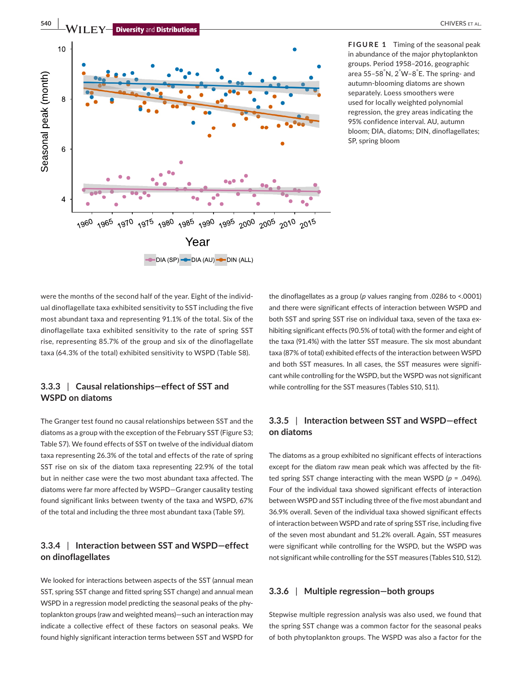

**FIGURE 1** Timing of the seasonal peak in abundance of the major phytoplankton groups. Period 1958–2016, geographic area 55–58° N, 2° W–8° E. The spring- and autumn-blooming diatoms are shown separately. Loess smoothers were used for locally weighted polynomial regression, the grey areas indicating the 95% confidence interval. AU, autumn bloom; DIA, diatoms; DIN, dinoflagellates; SP, spring bloom

were the months of the second half of the year. Eight of the individual dinoflagellate taxa exhibited sensitivity to SST including the five most abundant taxa and representing 91.1% of the total. Six of the dinoflagellate taxa exhibited sensitivity to the rate of spring SST rise, representing 85.7% of the group and six of the dinoflagellate taxa (64.3% of the total) exhibited sensitivity to WSPD (Table S8).

# **3.3.3** | **Causal relationships—effect of SST and WSPD on diatoms**

The Granger test found no causal relationships between SST and the diatoms as a group with the exception of the February SST (Figure S3; Table S7). We found effects of SST on twelve of the individual diatom taxa representing 26.3% of the total and effects of the rate of spring SST rise on six of the diatom taxa representing 22.9% of the total but in neither case were the two most abundant taxa affected. The diatoms were far more affected by WSPD—Granger causality testing found significant links between twenty of the taxa and WSPD, 67% of the total and including the three most abundant taxa (Table S9).

## **3.3.4** | **Interaction between SST and WSPD—effect on dinoflagellates**

We looked for interactions between aspects of the SST (annual mean SST, spring SST change and fitted spring SST change) and annual mean WSPD in a regression model predicting the seasonal peaks of the phytoplankton groups (raw and weighted means)—such an interaction may indicate a collective effect of these factors on seasonal peaks. We found highly significant interaction terms between SST and WSPD for

the dinoflagellates as a group (*p* values ranging from .0286 to <.0001) and there were significant effects of interaction between WSPD and both SST and spring SST rise on individual taxa, seven of the taxa exhibiting significant effects (90.5% of total) with the former and eight of the taxa (91.4%) with the latter SST measure. The six most abundant taxa (87% of total) exhibited effects of the interaction between WSPD and both SST measures. In all cases, the SST measures were significant while controlling for the WSPD, but the WSPD was not significant while controlling for the SST measures (Tables S10, S11).

## **3.3.5** | **Interaction between SST and WSPD—effect on diatoms**

The diatoms as a group exhibited no significant effects of interactions except for the diatom raw mean peak which was affected by the fitted spring SST change interacting with the mean WSPD (*p* = .0496). Four of the individual taxa showed significant effects of interaction between WSPD and SST including three of the five most abundant and 36.9% overall. Seven of the individual taxa showed significant effects of interaction between WSPD and rate of spring SST rise, including five of the seven most abundant and 51.2% overall. Again, SST measures were significant while controlling for the WSPD, but the WSPD was not significant while controlling for the SST measures (Tables S10, S12).

## **3.3.6** | **Multiple regression—both groups**

Stepwise multiple regression analysis was also used, we found that the spring SST change was a common factor for the seasonal peaks of both phytoplankton groups. The WSPD was also a factor for the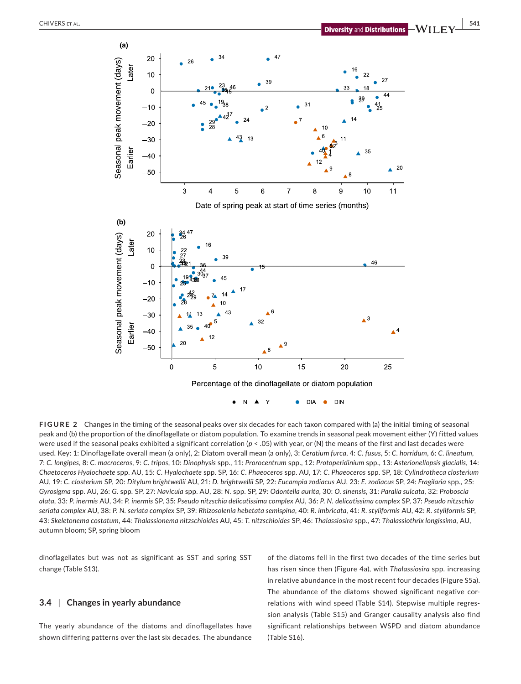

**FIGURE 2** Changes in the timing of the seasonal peaks over six decades for each taxon compared with (a) the initial timing of seasonal peak and (b) the proportion of the dinoflagellate or diatom population. To examine trends in seasonal peak movement either (Y) fitted values were used if the seasonal peaks exhibited a significant correlation ( $p < .05$ ) with year, or (N) the means of the first and last decades were used. Key: 1: Dinoflagellate overall mean (a only), 2: Diatom overall mean (a only), 3: *Ceratium furca*, 4: *C. fusus*, 5: *C. horridum*, 6: *C. lineatum*, 7: *C. longipes*, 8: *C. macroceros*, 9: *C. tripos*, 10: *Dinophysis* spp., 11: *Prorocentrum* spp., 12: *Protoperidinium* spp., 13: *Asterionellopsis glacialis*, 14: *Chaetoceros Hyalochaete* spp. AU, 15: *C. Hyalochaete* spp. SP, 16: *C. Phaeoceros* spp. AU, 17: *C. Phaeoceros* spp. SP, 18: *Cylindrotheca closterium* AU, 19: *C. closterium* SP, 20: *Ditylum brightwellii* AU, 21: *D. brightwellii* SP, 22: *Eucampia zodiacus* AU, 23: *E. zodiacus* SP, 24: *Fragilaria* spp., 25: *Gyrosigma* spp. AU, 26: *G.* spp*.* SP, 27: *Navicula* spp. AU, 28: *N.* spp. SP, 29: *Odontella aurita*, 30: *O. sinensis*, 31: *Paralia sulcata*, 32: *Proboscia alata*, 33: *P. inermis* AU, 34: *P. inermis* SP, 35: *Pseudo nitzschia delicatissima complex* AU, 36: *P. N. delicatissima complex* SP, 37: *Pseudo nitzschia*  seriata complex AU, 38; P. N. seriata complex SP, 39; Rhizosolenia hebetata semispina, 40; R. imbricata, 41; R. styliformis AU, 42; R. styliformis SP, 43: *Skeletonema costatum*, 44: *Thalassionema nitzschioides* AU, 45: *T. nitzschioides* SP, 46: *Thalassiosira* spp., 47: *Thalassiothrix longissima*, AU, autumn bloom; SP, spring bloom

dinoflagellates but was not as significant as SST and spring SST change (Table S13).

## **3.4** | **Changes in yearly abundance**

The yearly abundance of the diatoms and dinoflagellates have shown differing patterns over the last six decades. The abundance of the diatoms fell in the first two decades of the time series but has risen since then (Figure 4a), with *Thalassiosira* spp. increasing in relative abundance in the most recent four decades (Figure S5a). The abundance of the diatoms showed significant negative correlations with wind speed (Table S14). Stepwise multiple regression analysis (Table S15) and Granger causality analysis also find significant relationships between WSPD and diatom abundance (Table S16).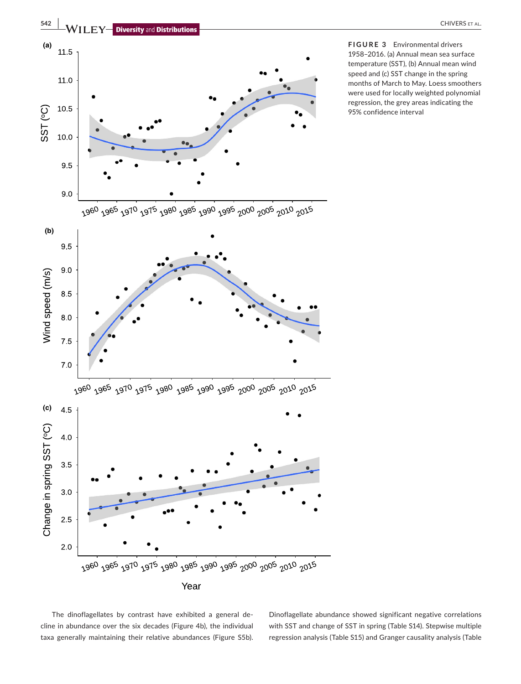

**FIGURE 3** Environmental drivers 1958–2016. (a) Annual mean sea surface temperature (SST), (b) Annual mean wind speed and (c) SST change in the spring months of March to May. Loess smoothers were used for locally weighted polynomial regression, the grey areas indicating the 95% confidence interval

The dinoflagellates by contrast have exhibited a general decline in abundance over the six decades (Figure 4b), the individual taxa generally maintaining their relative abundances (Figure S5b).

Dinoflagellate abundance showed significant negative correlations with SST and change of SST in spring (Table S14). Stepwise multiple regression analysis (Table S15) and Granger causality analysis (Table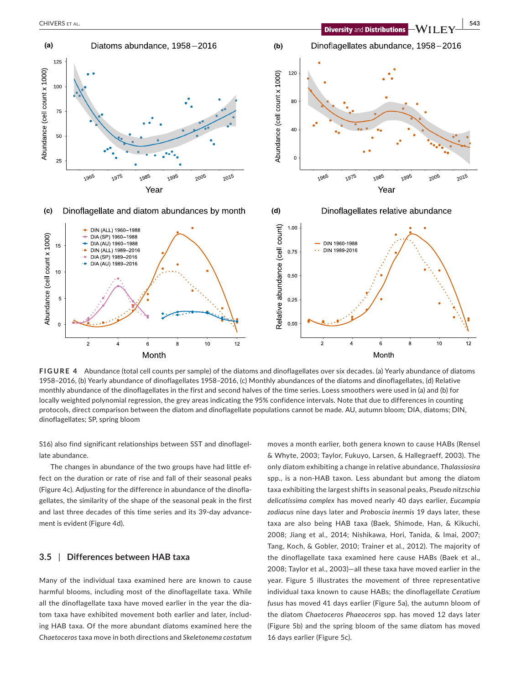

**FIGURE 4** Abundance (total cell counts per sample) of the diatoms and dinoflagellates over six decades. (a) Yearly abundance of diatoms 1958–2016, (b) Yearly abundance of dinoflagellates 1958–2016, (c) Monthly abundances of the diatoms and dinoflagellates, (d) Relative monthly abundance of the dinoflagellates in the first and second halves of the time series. Loess smoothers were used in (a) and (b) for locally weighted polynomial regression, the grey areas indicating the 95% confidence intervals. Note that due to differences in counting protocols, direct comparison between the diatom and dinoflagellate populations cannot be made. AU, autumn bloom; DIA, diatoms; DIN, dinoflagellates; SP, spring bloom

S16) also find significant relationships between SST and dinoflagellate abundance.

Month

The changes in abundance of the two groups have had little effect on the duration or rate of rise and fall of their seasonal peaks (Figure 4c). Adjusting for the difference in abundance of the dinoflagellates, the similarity of the shape of the seasonal peak in the first and last three decades of this time series and its 39-day advancement is evident (Figure 4d).

## **3.5** | **Differences between HAB taxa**

Many of the individual taxa examined here are known to cause harmful blooms, including most of the dinoflagellate taxa. While all the dinoflagellate taxa have moved earlier in the year the diatom taxa have exhibited movement both earlier and later, including HAB taxa. Of the more abundant diatoms examined here the *Chaetoceros* taxa move in both directions and *Skeletonema costatum* moves a month earlier, both genera known to cause HABs (Rensel & Whyte, 2003; Taylor, Fukuyo, Larsen, & Hallegraeff, 2003). The only diatom exhibiting a change in relative abundance, *Thalassiosira* spp., is a non-HAB taxon. Less abundant but among the diatom taxa exhibiting the largest shifts in seasonal peaks, *Pseudo nitzschia delicatissima complex* has moved nearly 40 days earlier, *Eucampia zodiacus* nine days later and *Proboscia inermis* 19 days later, these taxa are also being HAB taxa (Baek, Shimode, Han, & Kikuchi, 2008; Jiang et al., 2014; Nishikawa, Hori, Tanida, & Imai, 2007; Tang, Koch, & Gobler, 2010; Trainer et al., 2012). The majority of the dinoflagellate taxa examined here cause HABs (Baek et al., 2008; Taylor et al., 2003)—all these taxa have moved earlier in the year. Figure 5 illustrates the movement of three representative individual taxa known to cause HABs; the dinoflagellate *Ceratium fusus* has moved 41 days earlier (Figure 5a), the autumn bloom of the diatom *Chaetoceros Phaeoceros* spp. has moved 12 days later (Figure 5b) and the spring bloom of the same diatom has moved 16 days earlier (Figure 5c).

Month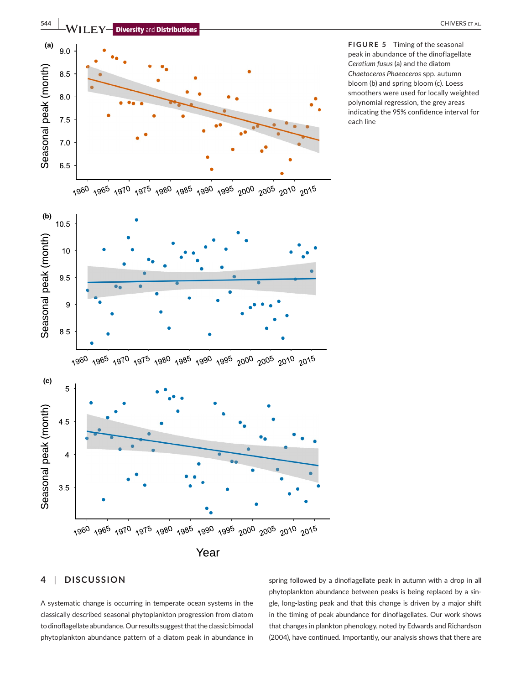

## **4** | **DISCUSSION**

A systematic change is occurring in temperate ocean systems in the classically described seasonal phytoplankton progression from diatom to dinoflagellate abundance. Our results suggest that the classic bimodal phytoplankton abundance pattern of a diatom peak in abundance in spring followed by a dinoflagellate peak in autumn with a drop in all phytoplankton abundance between peaks is being replaced by a single, long-lasting peak and that this change is driven by a major shift in the timing of peak abundance for dinoflagellates. Our work shows that changes in plankton phenology, noted by Edwards and Richardson (2004), have continued. Importantly, our analysis shows that there are

peak in abundance of the dinoflagellate *Ceratium fusus* (a) and the diatom *Chaetoceros Phaeoceros* spp. autumn bloom (b) and spring bloom (c). Loess smoothers were used for locally weighted polynomial regression, the grey areas indicating the 95% confidence interval for each line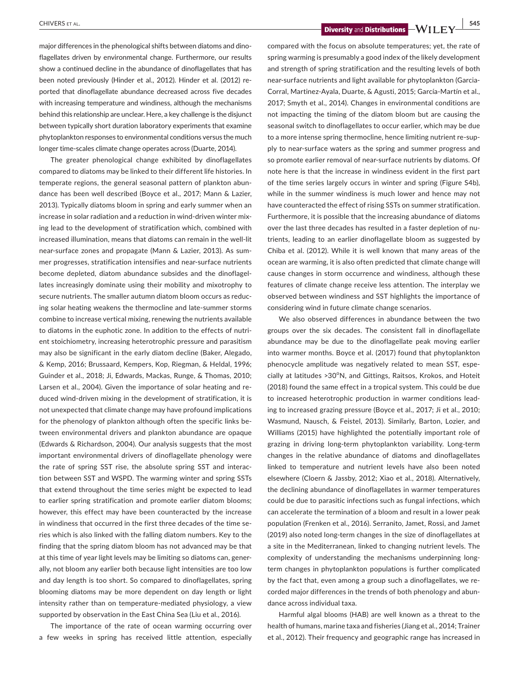**EXECUTERS ET AL.** SEE AL. A LAND SEE AL. A LAND SEE ALL AND SEE ALL AND SEE ALL AND SEE ALL AND SEE ALL AND SEE ALL AND SEE ALL AND SEE ALL AND SEE ALL AND SEE ALL AND SEE ALL AND SEE ALL AND SEE ALL AND SEE ALL AND SEE A

major differences in the phenological shifts between diatoms and dinoflagellates driven by environmental change. Furthermore, our results show a continued decline in the abundance of dinoflagellates that has been noted previously (Hinder et al., 2012). Hinder et al. (2012) reported that dinoflagellate abundance decreased across five decades with increasing temperature and windiness, although the mechanisms behind this relationship are unclear. Here, a key challenge is the disjunct between typically short duration laboratory experiments that examine phytoplankton responses to environmental conditions versus the much longer time-scales climate change operates across (Duarte, 2014).

The greater phenological change exhibited by dinoflagellates compared to diatoms may be linked to their different life histories. In temperate regions, the general seasonal pattern of plankton abundance has been well described (Boyce et al., 2017; Mann & Lazier, 2013). Typically diatoms bloom in spring and early summer when an increase in solar radiation and a reduction in wind-driven winter mixing lead to the development of stratification which, combined with increased illumination, means that diatoms can remain in the well-lit near-surface zones and propagate (Mann & Lazier, 2013). As summer progresses, stratification intensifies and near-surface nutrients become depleted, diatom abundance subsides and the dinoflagellates increasingly dominate using their mobility and mixotrophy to secure nutrients. The smaller autumn diatom bloom occurs as reducing solar heating weakens the thermocline and late-summer storms combine to increase vertical mixing, renewing the nutrients available to diatoms in the euphotic zone. In addition to the effects of nutrient stoichiometry, increasing heterotrophic pressure and parasitism may also be significant in the early diatom decline (Baker, Alegado, & Kemp, 2016; Brussaard, Kempers, Kop, Riegman, & Heldal, 1996; Guinder et al., 2018; Ji, Edwards, Mackas, Runge, & Thomas, 2010; Larsen et al., 2004). Given the importance of solar heating and reduced wind-driven mixing in the development of stratification, it is not unexpected that climate change may have profound implications for the phenology of plankton although often the specific links between environmental drivers and plankton abundance are opaque (Edwards & Richardson, 2004). Our analysis suggests that the most important environmental drivers of dinoflagellate phenology were the rate of spring SST rise, the absolute spring SST and interaction between SST and WSPD. The warming winter and spring SSTs that extend throughout the time series might be expected to lead to earlier spring stratification and promote earlier diatom blooms; however, this effect may have been counteracted by the increase in windiness that occurred in the first three decades of the time series which is also linked with the falling diatom numbers. Key to the finding that the spring diatom bloom has not advanced may be that at this time of year light levels may be limiting so diatoms can, generally, not bloom any earlier both because light intensities are too low and day length is too short. So compared to dinoflagellates, spring blooming diatoms may be more dependent on day length or light intensity rather than on temperature-mediated physiology, a view supported by observation in the East China Sea (Liu et al., 2016).

The importance of the rate of ocean warming occurring over a few weeks in spring has received little attention, especially compared with the focus on absolute temperatures; yet, the rate of spring warming is presumably a good index of the likely development and strength of spring stratification and the resulting levels of both near-surface nutrients and light available for phytoplankton (Garcia-Corral, Martinez-Ayala, Duarte, & Agusti, 2015; García-Martín et al., 2017; Smyth et al., 2014). Changes in environmental conditions are not impacting the timing of the diatom bloom but are causing the seasonal switch to dinoflagellates to occur earlier, which may be due to a more intense spring thermocline, hence limiting nutrient re-supply to near-surface waters as the spring and summer progress and so promote earlier removal of near-surface nutrients by diatoms. Of note here is that the increase in windiness evident in the first part of the time series largely occurs in winter and spring (Figure S4b), while in the summer windiness is much lower and hence may not have counteracted the effect of rising SSTs on summer stratification. Furthermore, it is possible that the increasing abundance of diatoms over the last three decades has resulted in a faster depletion of nutrients, leading to an earlier dinoflagellate bloom as suggested by Chiba et al. (2012). While it is well known that many areas of the ocean are warming, it is also often predicted that climate change will cause changes in storm occurrence and windiness, although these features of climate change receive less attention. The interplay we observed between windiness and SST highlights the importance of considering wind in future climate change scenarios.

We also observed differences in abundance between the two groups over the six decades. The consistent fall in dinoflagellate abundance may be due to the dinoflagellate peak moving earlier into warmer months. Boyce et al. (2017) found that phytoplankton phenocycle amplitude was negatively related to mean SST, especially at latitudes >30°N, and Gittings, Raitsos, Krokos, and Hoteit (2018) found the same effect in a tropical system. This could be due to increased heterotrophic production in warmer conditions leading to increased grazing pressure (Boyce et al., 2017; Ji et al., 2010; Wasmund, Nausch, & Feistel, 2013). Similarly, Barton, Lozier, and Williams (2015) have highlighted the potentially important role of grazing in driving long-term phytoplankton variability. Long-term changes in the relative abundance of diatoms and dinoflagellates linked to temperature and nutrient levels have also been noted elsewhere (Cloern & Jassby, 2012; Xiao et al., 2018). Alternatively, the declining abundance of dinoflagellates in warmer temperatures could be due to parasitic infections such as fungal infections, which can accelerate the termination of a bloom and result in a lower peak population (Frenken et al., 2016). Serranito, Jamet, Rossi, and Jamet (2019) also noted long-term changes in the size of dinoflagellates at a site in the Mediterranean, linked to changing nutrient levels. The complexity of understanding the mechanisms underpinning longterm changes in phytoplankton populations is further complicated by the fact that, even among a group such a dinoflagellates, we recorded major differences in the trends of both phenology and abundance across individual taxa.

Harmful algal blooms (HAB) are well known as a threat to the health of humans, marine taxa and fisheries (Jiang et al., 2014; Trainer et al., 2012). Their frequency and geographic range has increased in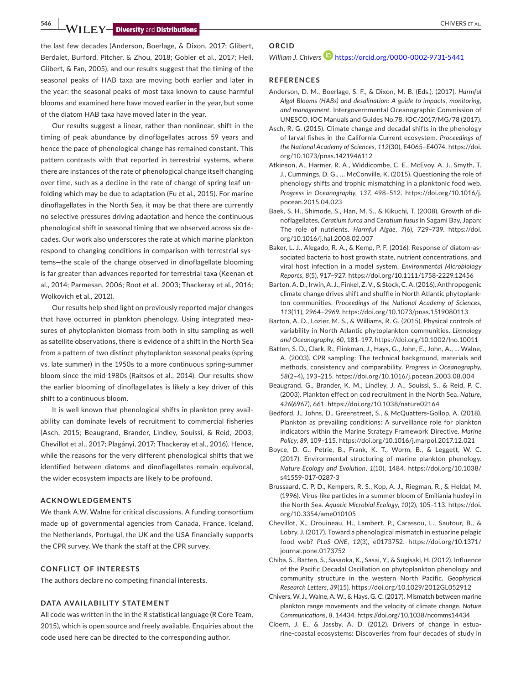**546 WILEY-Diversity** and **Distributions** 

the last few decades (Anderson, Boerlage, & Dixon, 2017; Glibert, Berdalet, Burford, Pitcher, & Zhou, 2018; Gobler et al., 2017; Heil, Glibert, & Fan, 2005), and our results suggest that the timing of the seasonal peaks of HAB taxa are moving both earlier and later in the year: the seasonal peaks of most taxa known to cause harmful blooms and examined here have moved earlier in the year, but some of the diatom HAB taxa have moved later in the year.

Our results suggest a linear, rather than nonlinear, shift in the timing of peak abundance by dinoflagellates across 59 years and hence the pace of phenological change has remained constant. This pattern contrasts with that reported in terrestrial systems, where there are instances of the rate of phenological change itself changing over time, such as a decline in the rate of change of spring leaf unfolding which may be due to adaptation (Fu et al., 2015). For marine dinoflagellates in the North Sea, it may be that there are currently no selective pressures driving adaptation and hence the continuous phenological shift in seasonal timing that we observed across six decades. Our work also underscores the rate at which marine plankton respond to changing conditions in comparison with terrestrial systems—the scale of the change observed in dinoflagellate blooming is far greater than advances reported for terrestrial taxa (Keenan et al., 2014; Parmesan, 2006; Root et al., 2003; Thackeray et al., 2016; Wolkovich et al., 2012).

Our results help shed light on previously reported major changes that have occurred in plankton phenology. Using integrated measures of phytoplankton biomass from both in situ sampling as well as satellite observations, there is evidence of a shift in the North Sea from a pattern of two distinct phytoplankton seasonal peaks (spring vs. late summer) in the 1950s to a more continuous spring-summer bloom since the mid-1980s (Raitsos et al., 2014). Our results show the earlier blooming of dinoflagellates is likely a key driver of this shift to a continuous bloom.

It is well known that phenological shifts in plankton prey availability can dominate levels of recruitment to commercial fisheries (Asch, 2015; Beaugrand, Brander, Lindley, Souissi, & Reid, 2003; Chevillot et al., 2017; Plagányi, 2017; Thackeray et al., 2016). Hence, while the reasons for the very different phenological shifts that we identified between diatoms and dinoflagellates remain equivocal, the wider ecosystem impacts are likely to be profound.

## **ACKNOWLEDGEMENTS**

We thank A.W. Walne for critical discussions. A funding consortium made up of governmental agencies from Canada, France, Iceland, the Netherlands, Portugal, the UK and the USA financially supports the CPR survey. We thank the staff at the CPR survey.

#### **CONFLICT OF INTERESTS**

The authors declare no competing financial interests.

## **DATA AVAILABILITY STATEMENT**

All code was written in the in the R statistical language (R Core Team, 2015)*,* which is open source and freely available. Enquiries about the code used here can be directed to the corresponding author.

## **ORCID**

## *William J. Chivers* **D** <https://orcid.org/0000-0002-9731-5441>

## **REFERENCES**

- Anderson, D. M., Boerlage, S. F., & Dixon, M. B. (Eds.). (2017). *Harmful Algal Blooms (HABs) and desalination: A guide to impacts, monitoring, and management*. Intergovernmental Oceanographic Commission of UNESCO, IOC Manuals and Guides No.78. IOC/2017/MG/78 (2017).
- Asch, R. G. (2015). Climate change and decadal shifts in the phenology of larval fishes in the California Current ecosystem. *Proceedings of the National Academy of Sciences*, *112*(30), E4065–E4074. [https://doi.](https://doi.org/10.1073/pnas.1421946112) [org/10.1073/pnas.1421946112](https://doi.org/10.1073/pnas.1421946112)
- Atkinson, A., Harmer, R. A., Widdicombe, C. E., McEvoy, A. J., Smyth, T. J., Cummings, D. G., … McConville, K. (2015). Questioning the role of phenology shifts and trophic mismatching in a planktonic food web. *Progress in Oceanography*, *137*, 498–512. [https://doi.org/10.1016/j.](https://doi.org/10.1016/j.pocean.2015.04.023) [pocean.2015.04.023](https://doi.org/10.1016/j.pocean.2015.04.023)
- Baek, S. H., Shimode, S., Han, M. S., & Kikuchi, T. (2008). Growth of dinoflagellates, *Ceratium furca* and *Ceratium fusus* in Sagami Bay, Japan: The role of nutrients. *Harmful Algae*, *7*(6), 729–739. [https://doi.](https://doi.org/10.1016/j.hal.2008.02.007) [org/10.1016/j.hal.2008.02.007](https://doi.org/10.1016/j.hal.2008.02.007)
- Baker, L. J., Alegado, R. A., & Kemp, P. F. (2016). Response of diatom-associated bacteria to host growth state, nutrient concentrations, and viral host infection in a model system. *Environmental Microbiology Reports*, *8*(5), 917–927.<https://doi.org/10.1111/1758-2229.12456>
- Barton, A. D., Irwin, A. J., Finkel, Z. V., & Stock, C. A. (2016). Anthropogenic climate change drives shift and shuffle in North Atlantic phytoplankton communities. *Proceedings of the National Academy of Sciences*, *113*(11), 2964–2969.<https://doi.org/10.1073/pnas.1519080113>
- Barton, A. D., Lozier, M. S., & Williams, R. G. (2015). Physical controls of variability in North Atlantic phytoplankton communities. *Limnology and Oceanography*, *60*, 181–197. <https://doi.org/10.1002/lno.10011>
- Batten, S. D., Clark, R., Flinkman, J., Hays, G., John, E., John, A., … Walne, A. (2003). CPR sampling: The technical background, materials and methods, consistency and comparability. *Progress in Oceanography*, *58*(2–4), 193–215.<https://doi.org/10.1016/j.pocean.2003.08.004>
- Beaugrand, G., Brander, K. M., Lindley, J. A., Souissi, S., & Reid, P. C. (2003). Plankton effect on cod recruitment in the North Sea. *Nature*, *426*(6967), 661. <https://doi.org/10.1038/nature02164>
- Bedford, J., Johns, D., Greenstreet, S., & McQuatters-Gollop, A. (2018). Plankton as prevailing conditions: A surveillance role for plankton indicators within the Marine Strategy Framework Directive. *Marine Policy*, *89*, 109–115. <https://doi.org/10.1016/j.marpol.2017.12.021>
- Boyce, D. G., Petrie, B., Frank, K. T., Worm, B., & Leggett, W. C. (2017). Environmental structuring of marine plankton phenology. *Nature Ecology and Evolution*, *1*(10), 1484. [https://doi.org/10.1038/](https://doi.org/10.1038/s41559-017-0287-3) [s41559-017-0287-3](https://doi.org/10.1038/s41559-017-0287-3)
- Brussaard, C. P. D., Kempers, R. S., Kop, A. J., Riegman, R., & Heldal, M. (1996). Virus-like particles in a summer bloom of Emiliania huxleyi in the North Sea. *Aquatic Microbial Ecology*, *10*(2), 105–113. [https://doi.](https://doi.org/10.3354/ame010105) [org/10.3354/ame010105](https://doi.org/10.3354/ame010105)
- Chevillot, X., Drouineau, H., Lambert, P., Carassou, L., Sautour, B., & Lobry, J. (2017). Toward a phenological mismatch in estuarine pelagic food web? *PLoS ONE*, *12*(3), e0173752. [https://doi.org/10.1371/](https://doi.org/10.1371/journal.pone.0173752) [journal.pone.0173752](https://doi.org/10.1371/journal.pone.0173752)
- Chiba, S., Batten, S., Sasaoka, K., Sasai, Y., & Sugisaki, H. (2012). Influence of the Pacific Decadal Oscillation on phytoplankton phenology and community structure in the western North Pacific. *Geophysical Research Letters*, *39*(15).<https://doi.org/10.1029/2012GL052912>
- Chivers, W. J., Walne, A. W., & Hays, G. C. (2017). Mismatch between marine plankton range movements and the velocity of climate change. *Nature Communications*, *8*, 14434. <https://doi.org/10.1038/ncomms14434>
- Cloern, J. E., & Jassby, A. D. (2012). Drivers of change in estuarine-coastal ecosystems: Discoveries from four decades of study in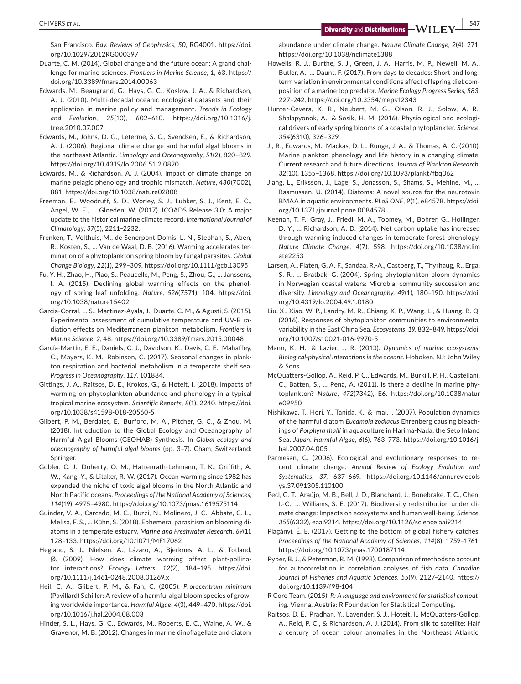San Francisco. *Bay. Reviews of Geophysics*, *50*, RG4001. [https://doi.](https://doi.org/10.1029/2012RG000397) [org/10.1029/2012RG000397](https://doi.org/10.1029/2012RG000397)

- Duarte, C. M. (2014). Global change and the future ocean: A grand challenge for marine sciences. *Frontiers in Marine Science*, *1*, 63. [https://](https://doi.org/10.3389/fmars.2014.00063) [doi.org/10.3389/fmars.2014.00063](https://doi.org/10.3389/fmars.2014.00063)
- Edwards, M., Beaugrand, G., Hays, G. C., Koslow, J. A., & Richardson, A. J. (2010). Multi-decadal oceanic ecological datasets and their application in marine policy and management. *Trends in Ecology and Evolution*, *25*(10), 602–610. [https://doi.org/10.1016/j.](https://doi.org/10.1016/j.tree.2010.07.007) [tree.2010.07.007](https://doi.org/10.1016/j.tree.2010.07.007)
- Edwards, M., Johns, D. G., Leterme, S. C., Svendsen, E., & Richardson, A. J. (2006). Regional climate change and harmful algal blooms in the northeast Atlantic. *Limnology and Oceanography*, *51*(2), 820–829. <https://doi.org/10.4319/lo.2006.51.2.0820>
- Edwards, M., & Richardson, A. J. (2004). Impact of climate change on marine pelagic phenology and trophic mismatch. *Nature*, *430*(7002), 881. <https://doi.org/10.1038/nature02808>
- Freeman, E., Woodruff, S. D., Worley, S. J., Lubker, S. J., Kent, E. C., Angel, W. E., … Gloeden, W. (2017). ICOADS Release 3.0: A major update to the historical marine climate record. *International Journal of Climatology*, *37*(5), 2211–2232.
- Frenken, T., Velthuis, M., de Senerpont Domis, L. N., Stephan, S., Aben, R., Kosten, S., … Van de Waal, D. B. (2016). Warming accelerates termination of a phytoplankton spring bloom by fungal parasites. *Global Change Biology*, *22*(1), 299–309.<https://doi.org/10.1111/gcb.13095>
- Fu, Y. H., Zhao, H., Piao, S., Peaucelle, M., Peng, S., Zhou, G., … Janssens, I. A. (2015). Declining global warming effects on the phenology of spring leaf unfolding. *Nature*, *526*(7571), 104. [https://doi.](https://doi.org/10.1038/nature15402) [org/10.1038/nature15402](https://doi.org/10.1038/nature15402)
- Garcia-Corral, L. S., Martinez-Ayala, J., Duarte, C. M., & Agusti, S. (2015). Experimental assessment of cumulative temperature and UV-B radiation effects on Mediterranean plankton metabolism. *Frontiers in Marine Science*, *2*, 48. <https://doi.org/10.3389/fmars.2015.00048>
- García-Martín, E. E., Daniels, C. J., Davidson, K., Davis, C. E., Mahaffey, C., Mayers, K. M., Robinson, C. (2017). Seasonal changes in plankton respiration and bacterial metabolism in a temperate shelf sea. *Progress in Oceanography*, *117*, 101884.
- Gittings, J. A., Raitsos, D. E., Krokos, G., & Hoteit, I. (2018). Impacts of warming on phytoplankton abundance and phenology in a typical tropical marine ecosystem. *Scientific Reports*, *8*(1), 2240. [https://doi.](https://doi.org/10.1038/s41598-018-20560-5) [org/10.1038/s41598-018-20560-5](https://doi.org/10.1038/s41598-018-20560-5)
- Glibert, P. M., Berdalet, E., Burford, M. A., Pitcher, G. C., & Zhou, M. (2018). Introduction to the Global Ecology and Oceanography of Harmful Algal Blooms (GEOHAB) Synthesis. In *Global ecology and oceanography of harmful algal blooms* (pp. 3–7). Cham, Switzerland: Springer.
- Gobler, C. J., Doherty, O. M., Hattenrath-Lehmann, T. K., Griffith, A. W., Kang, Y., & Litaker, R. W. (2017). Ocean warming since 1982 has expanded the niche of toxic algal blooms in the North Atlantic and North Pacific oceans. *Proceedings of the National Academy of Sciences*, *114*(19), 4975–4980.<https://doi.org/10.1073/pnas.1619575114>
- Guinder, V. A., Carcedo, M. C., Buzzi, N., Molinero, J. C., Abbate, C. L., Melisa, F. S., … Kühn, S. (2018). Ephemeral parasitism on blooming diatoms in a temperate estuary. *Marine and Freshwater Research*, *69*(1), 128–133. <https://doi.org/10.1071/MF17062>
- Hegland, S. J., Nielsen, A., Lázaro, A., Bjerknes, A. L., & Totland, Ø. (2009). How does climate warming affect plant-pollinator interactions? *Ecology Letters*, *12*(2), 184–195. [https://doi.](https://doi.org/10.1111/j.1461-0248.2008.01269.x) [org/10.1111/j.1461-0248.2008.01269.x](https://doi.org/10.1111/j.1461-0248.2008.01269.x)
- Heil, C. A., Glibert, P. M., & Fan, C. (2005). *Prorocentrum minimum* (Pavillard) Schiller: A review of a harmful algal bloom species of growing worldwide importance. *Harmful Algae*, *4*(3), 449–470. [https://doi.](https://doi.org/10.1016/j.hal.2004.08.003) [org/10.1016/j.hal.2004.08.003](https://doi.org/10.1016/j.hal.2004.08.003)
- Hinder, S. L., Hays, G. C., Edwards, M., Roberts, E. C., Walne, A. W., & Gravenor, M. B. (2012). Changes in marine dinoflagellate and diatom

abundance under climate change. *Nature Climate Change*, *2*(4), 271. <https://doi.org/10.1038/nclimate1388>

- Howells, R. J., Burthe, S. J., Green, J. A., Harris, M. P., Newell, M. A., Butler, A., … Daunt, F. (2017). From days to decades: Short-and longterm variation in environmental conditions affect offspring diet composition of a marine top predator. *Marine Ecology Progress Series*, *583*, 227–242.<https://doi.org/10.3354/meps12343>
- Hunter-Cevera, K. R., Neubert, M. G., Olson, R. J., Solow, A. R., Shalapyonok, A., & Sosik, H. M. (2016). Physiological and ecological drivers of early spring blooms of a coastal phytoplankter. *Science*, *354*(6310), 326–329.
- Ji, R., Edwards, M., Mackas, D. L., Runge, J. A., & Thomas, A. C. (2010). Marine plankton phenology and life history in a changing climate: Current research and future directions. *Journal of Plankton Research*, *32*(10), 1355–1368.<https://doi.org/10.1093/plankt/fbq062>
- Jiang, L., Eriksson, J., Lage, S., Jonasson, S., Shams, S., Mehine, M., … Rasmussen, U. (2014). Diatoms: A novel source for the neurotoxin BMAA in aquatic environments. *PLoS ONE*, *9*(1), e84578. [https://doi.](https://doi.org/10.1371/journal.pone.0084578) [org/10.1371/journal.pone.0084578](https://doi.org/10.1371/journal.pone.0084578)
- Keenan, T. F., Gray, J., Friedl, M. A., Toomey, M., Bohrer, G., Hollinger, D. Y., … Richardson, A. D. (2014). Net carbon uptake has increased through warming-induced changes in temperate forest phenology. *Nature Climate Change*, *4*(7), 598. [https://doi.org/10.1038/nclim](https://doi.org/10.1038/nclimate2253) [ate2253](https://doi.org/10.1038/nclimate2253)
- Larsen, A., Flaten, G. A. F., Sandaa, R.-A., Castberg, T., Thyrhaug, R., Erga, S. R., … Bratbak, G. (2004). Spring phytoplankton bloom dynamics in Norwegian coastal waters: Microbial community succession and diversity. *Limnology and Oceanography*, *49*(1), 180–190. [https://doi.](https://doi.org/10.4319/lo.2004.49.1.0180) [org/10.4319/lo.2004.49.1.0180](https://doi.org/10.4319/lo.2004.49.1.0180)
- Liu, X., Xiao, W. P., Landry, M. R., Chiang, K. P., Wang, L., & Huang, B. Q. (2016). Responses of phytoplankton communities to environmental variability in the East China Sea. *Ecosystems*, *19*, 832–849. [https://doi.](https://doi.org/10.1007/s10021-016-9970-5) [org/10.1007/s10021-016-9970-5](https://doi.org/10.1007/s10021-016-9970-5)
- Mann, K. H., & Lazier, J. R. (2013). *Dynamics of marine ecosystems: Biological-physical interactions in the oceans*. Hoboken, NJ: John Wiley & Sons.
- McQuatters-Gollop, A., Reid, P. C., Edwards, M., Burkill, P. H., Castellani, C., Batten, S., … Pena, A. (2011). Is there a decline in marine phytoplankton? *Nature*, *472*(7342), E6. [https://doi.org/10.1038/natur](https://doi.org/10.1038/nature09950) [e09950](https://doi.org/10.1038/nature09950)
- Nishikawa, T., Hori, Y., Tanida, K., & Imai, I. (2007). Population dynamics of the harmful diatom *Eucampia zodiacus* Ehrenberg causing bleachings of *Porphyra thalli* in aquaculture in Harima-Nada, the Seto Inland Sea. *Japan. Harmful Algae*, *6*(6), 763–773. [https://doi.org/10.1016/j.](https://doi.org/10.1016/j.hal.2007.04.005) [hal.2007.04.005](https://doi.org/10.1016/j.hal.2007.04.005)
- Parmesan, C. (2006). Ecological and evolutionary responses to recent climate change. *Annual Review of Ecology Evolution and Systematics*, *37*, 637–669. [https://doi.org/10.1146/annurev.ecols](https://doi.org/10.1146/annurev.ecolsys.37.091305.110100) [ys.37.091305.110100](https://doi.org/10.1146/annurev.ecolsys.37.091305.110100)
- Pecl, G. T., Araújo, M. B., Bell, J. D., Blanchard, J., Bonebrake, T. C., Chen, I.-C., … Williams, S. E. (2017). Biodiversity redistribution under climate change: Impacts on ecosystems and human well-being. *Science*, *355*(6332), eaai9214.<https://doi.org/10.1126/science.aai9214>
- Plagányi, É. E. (2017). Getting to the bottom of global fishery catches. *Proceedings of the National Academy of Sciences*, *114*(8), 1759–1761. <https://doi.org/10.1073/pnas.1700187114>
- Pyper, B. J., & Peterman, R. M. (1998). Comparison of methods to account for autocorrelation in correlation analyses of fish data. *Canadian Journal of Fisheries and Aquatic Sciences*, *55*(9), 2127–2140. [https://](https://doi.org/10.1139/f98-104) [doi.org/10.1139/f98-104](https://doi.org/10.1139/f98-104)
- R Core Team. (2015). *R: A language and environment for statistical computing*. Vienna, Austria: R Foundation for Statistical Computing.
- Raitsos, D. E., Pradhan, Y., Lavender, S. J., Hoteit, I., McQuatters-Gollop, A., Reid, P. C., & Richardson, A. J. (2014). From silk to satellite: Half a century of ocean colour anomalies in the Northeast Atlantic.